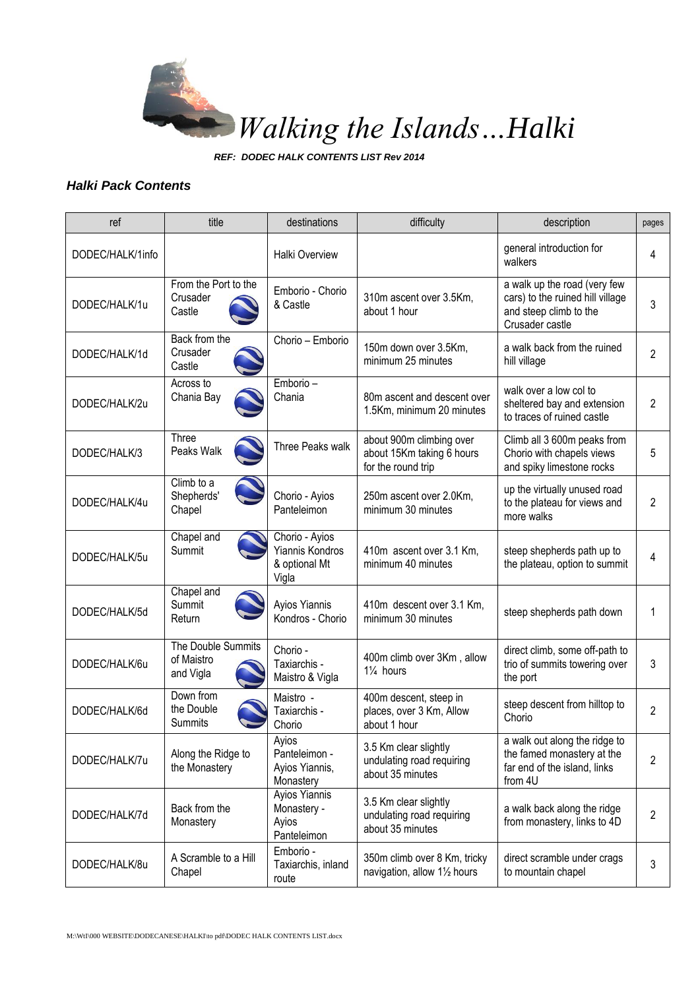

*REF: DODEC HALK CONTENTS LIST Rev 2014*

## *Halki Pack Contents*

| ref              | title                                         | destinations                                                | difficulty                                                                  | description                                                                                                   | pages          |
|------------------|-----------------------------------------------|-------------------------------------------------------------|-----------------------------------------------------------------------------|---------------------------------------------------------------------------------------------------------------|----------------|
| DODEC/HALK/1info |                                               | <b>Halki Overview</b>                                       |                                                                             | general introduction for<br>walkers                                                                           | 4              |
| DODEC/HALK/1u    | From the Port to the<br>Crusader<br>Castle    | Emborio - Chorio<br>& Castle                                | 310m ascent over 3.5Km,<br>about 1 hour                                     | a walk up the road (very few<br>cars) to the ruined hill village<br>and steep climb to the<br>Crusader castle | 3              |
| DODEC/HALK/1d    | Back from the<br>Crusader<br>Castle           | Chorio - Emborio                                            | 150m down over 3.5Km,<br>minimum 25 minutes                                 | a walk back from the ruined<br>hill village                                                                   | 2              |
| DODEC/HALK/2u    | Across to<br>Chania Bay                       | Emborio -<br>Chania                                         | 80m ascent and descent over<br>1.5Km, minimum 20 minutes                    | walk over a low col to<br>sheltered bay and extension<br>to traces of ruined castle                           | 2              |
| DODEC/HALK/3     | Three<br>Peaks Walk                           | Three Peaks walk                                            | about 900m climbing over<br>about 15Km taking 6 hours<br>for the round trip | Climb all 3 600m peaks from<br>Chorio with chapels views<br>and spiky limestone rocks                         | 5              |
| DODEC/HALK/4u    | Climb to a<br>Shepherds'<br>Chapel            | Chorio - Ayios<br>Panteleimon                               | 250m ascent over 2.0Km,<br>minimum 30 minutes                               | up the virtually unused road<br>to the plateau for views and<br>more walks                                    | 2              |
| DODEC/HALK/5u    | Chapel and<br>Summit                          | Chorio - Ayios<br>Yiannis Kondros<br>& optional Mt<br>Vigla | 410m ascent over 3.1 Km,<br>minimum 40 minutes                              | steep shepherds path up to<br>the plateau, option to summit                                                   | 4              |
| DODEC/HALK/5d    | Chapel and<br>Summit<br>Return                | Ayios Yiannis<br>Kondros - Chorio                           | 410m descent over 3.1 Km,<br>minimum 30 minutes                             | steep shepherds path down                                                                                     | 1              |
| DODEC/HALK/6u    | The Double Summits<br>of Maistro<br>and Vigla | Chorio -<br>Taxiarchis -<br>Maistro & Vigla                 | 400m climb over 3Km, allow<br>$1\frac{1}{4}$ hours                          | direct climb, some off-path to<br>trio of summits towering over<br>the port                                   | 3              |
| DODEC/HALK/6d    | Down from<br>the Double<br>Summits            | Maistro -<br>Taxiarchis -<br>Chorio                         | 400m descent, steep in<br>places, over 3 Km, Allow<br>about 1 hour          | steep descent from hilltop to<br>Chorio                                                                       | 2              |
| DODEC/HALK/7u    | Along the Ridge to<br>the Monastery           | Ayios<br>Panteleimon -<br>Ayios Yiannis,<br>Monastery       | 3.5 Km clear slightly<br>undulating road requiring<br>about 35 minutes      | a walk out along the ridge to<br>the famed monastery at the<br>far end of the island, links<br>from 4U        | $\overline{2}$ |
| DODEC/HALK/7d    | Back from the<br>Monastery                    | Ayios Yiannis<br>Monastery -<br>Ayios<br>Panteleimon        | 3.5 Km clear slightly<br>undulating road requiring<br>about 35 minutes      | a walk back along the ridge<br>from monastery, links to 4D                                                    | 2              |
| DODEC/HALK/8u    | A Scramble to a Hill<br>Chapel                | Emborio -<br>Taxiarchis, inland<br>route                    | 350m climb over 8 Km, tricky<br>navigation, allow 11/2 hours                | direct scramble under crags<br>to mountain chapel                                                             | 3              |